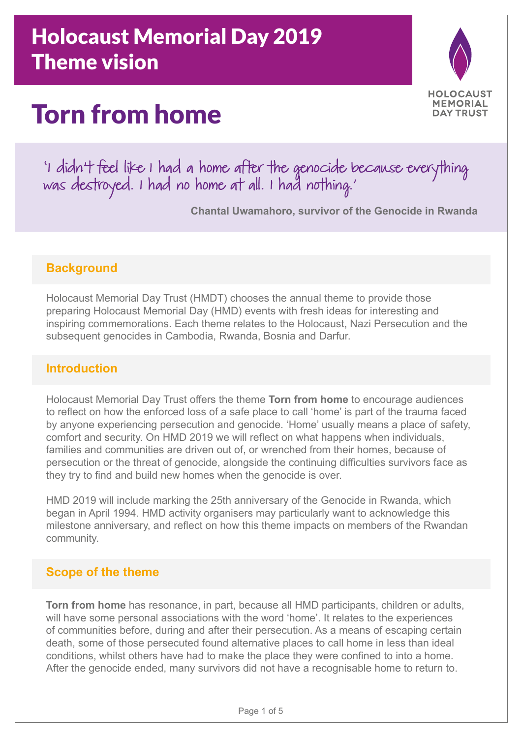# Holocaust Memorial Day 2019 Theme vision

# Torn from home



'I didn't feel like I had a home after the genocide because everything was destroyed. I had no home at all. I had nothing.'

**Chantal Uwamahoro, survivor of the Genocide in Rwanda**

### **Background**

Holocaust Memorial Day Trust (HMDT) chooses the annual theme to provide those preparing Holocaust Memorial Day (HMD) events with fresh ideas for interesting and inspiring commemorations. Each theme relates to the Holocaust, Nazi Persecution and the subsequent genocides in Cambodia, Rwanda, Bosnia and Darfur.

### **Introduction**

Holocaust Memorial Day Trust offers the theme **Torn from home** to encourage audiences to reflect on how the enforced loss of a safe place to call 'home' is part of the trauma faced by anyone experiencing persecution and genocide. 'Home' usually means a place of safety, comfort and security. On HMD 2019 we will reflect on what happens when individuals, families and communities are driven out of, or wrenched from their homes, because of persecution or the threat of genocide, alongside the continuing difficulties survivors face as they try to find and build new homes when the genocide is over.

HMD 2019 will include marking the 25th anniversary of the Genocide in Rwanda, which began in April 1994. HMD activity organisers may particularly want to acknowledge this milestone anniversary, and reflect on how this theme impacts on members of the Rwandan community.

## **Scope of the theme**

**Torn from home** has resonance, in part, because all HMD participants, children or adults, will have some personal associations with the word 'home'. It relates to the experiences of communities before, during and after their persecution. As a means of escaping certain death, some of those persecuted found alternative places to call home in less than ideal conditions, whilst others have had to make the place they were confined to into a home. After the genocide ended, many survivors did not have a recognisable home to return to.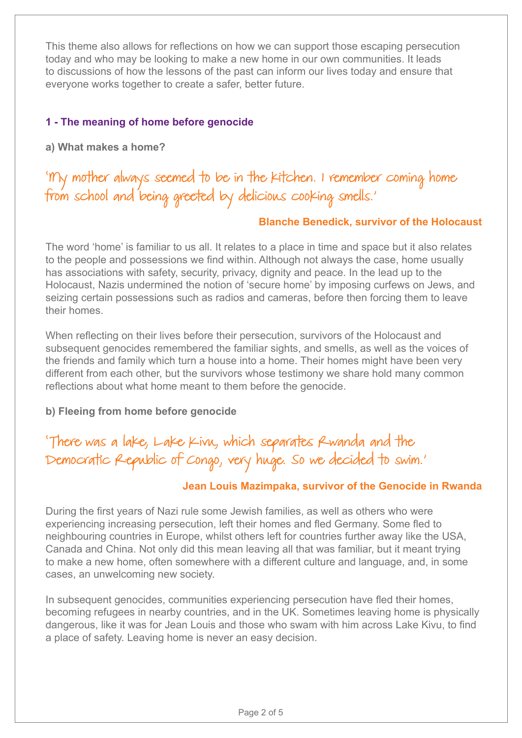This theme also allows for reflections on how we can support those escaping persecution today and who may be looking to make a new home in our own communities. It leads to discussions of how the lessons of the past can inform our lives today and ensure that everyone works together to create a safer, better future.

#### **1 - The meaning of home before genocide**

**a) What makes a home?**

'My mother always seemed to be in the kitchen. I remember coming home from school and being greeted by delicious cooking smells.'

#### **Blanche Benedick, survivor of the Holocaust**

The word 'home' is familiar to us all. It relates to a place in time and space but it also relates to the people and possessions we find within. Although not always the case, home usually has associations with safety, security, privacy, dignity and peace. In the lead up to the Holocaust, Nazis undermined the notion of 'secure home' by imposing curfews on Jews, and seizing certain possessions such as radios and cameras, before then forcing them to leave their homes.

When reflecting on their lives before their persecution, survivors of the Holocaust and subsequent genocides remembered the familiar sights, and smells, as well as the voices of the friends and family which turn a house into a home. Their homes might have been very different from each other, but the survivors whose testimony we share hold many common reflections about what home meant to them before the genocide.

#### **b) Fleeing from home before genocide**

'There was a lake, Lake Kivu, which separates Rwanda and the Democratic Republic of Congo, very huge. So we decided to swim.'

#### **Jean Louis Mazimpaka, survivor of the Genocide in Rwanda**

During the first years of Nazi rule some Jewish families, as well as others who were experiencing increasing persecution, left their homes and fled Germany. Some fled to neighbouring countries in Europe, whilst others left for countries further away like the USA, Canada and China. Not only did this mean leaving all that was familiar, but it meant trying to make a new home, often somewhere with a different culture and language, and, in some cases, an unwelcoming new society.

In subsequent genocides, communities experiencing persecution have fled their homes, becoming refugees in nearby countries, and in the UK. Sometimes leaving home is physically dangerous, like it was for Jean Louis and those who swam with him across Lake Kivu, to find a place of safety. Leaving home is never an easy decision.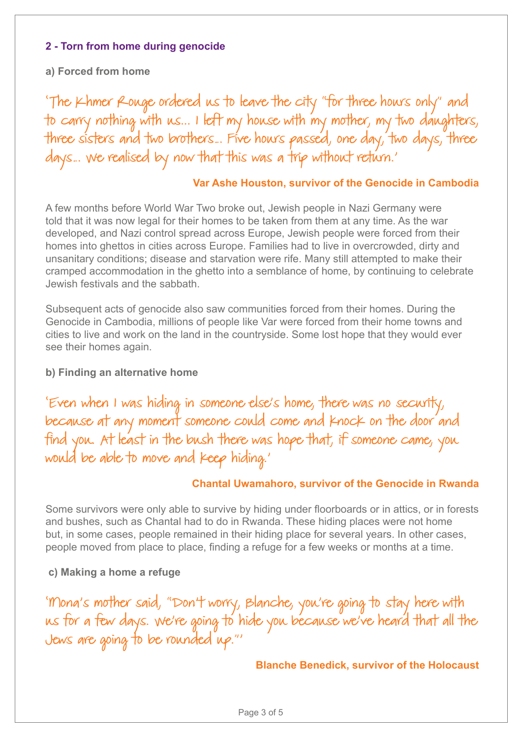#### **2 - Torn from home during genocide**

#### **a) Forced from home**

'The Khmer Rouge ordered us to leave the city "for three hours only" and to carry nothing with us... I left my house with my mother, my two daughters, three sisters and two brothers... Five hows passed, one day, two days, three days... We realised by now that this was a trip without return.'

#### **Var Ashe Houston, survivor of the Genocide in Cambodia**

A few months before World War Two broke out, Jewish people in Nazi Germany were told that it was now legal for their homes to be taken from them at any time. As the war developed, and Nazi control spread across Europe, Jewish people were forced from their homes into ghettos in cities across Europe. Families had to live in overcrowded, dirty and unsanitary conditions; disease and starvation were rife. Many still attempted to make their cramped accommodation in the ghetto into a semblance of home, by continuing to celebrate Jewish festivals and the sabbath.

Subsequent acts of genocide also saw communities forced from their homes. During the Genocide in Cambodia, millions of people like Var were forced from their home towns and cities to live and work on the land in the countryside. Some lost hope that they would ever see their homes again.

#### **b) Finding an alternative home**

'Even when I was hiding in someone else's home, there was no security, because at any moment someone could come and knock on the door and find you. At least in the bush there was hope that, if someone came, you would be able to move and keep hiding.'

#### **Chantal Uwamahoro, survivor of the Genocide in Rwanda**

Some survivors were only able to survive by hiding under floorboards or in attics, or in forests and bushes, such as Chantal had to do in Rwanda. These hiding places were not home but, in some cases, people remained in their hiding place for several years. In other cases, people moved from place to place, finding a refuge for a few weeks or months at a time.

#### **c) Making a home a refuge**

'Mona's mother said, "Don't worry, Blanche, you're going to stay here with us for a few days. We're going to hide you because we've heard that all the Jews are going to be rounded up."'

#### **Blanche Benedick, survivor of the Holocaust**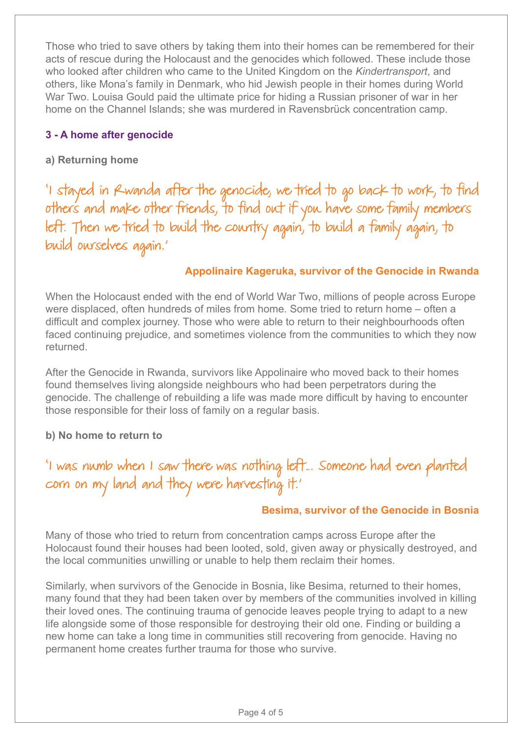Those who tried to save others by taking them into their homes can be remembered for their acts of rescue during the Holocaust and the genocides which followed. These include those who looked after children who came to the United Kingdom on the *Kindertransport*, and others, like Mona's family in Denmark, who hid Jewish people in their homes during World War Two. Louisa Gould paid the ultimate price for hiding a Russian prisoner of war in her home on the Channel Islands; she was murdered in Ravensbrück concentration camp.

#### **3 - A home after genocide**

#### **a) Returning home**

'I stayed in Rwanda after the genocide, we tried to go back to work, to find others and make other friends, to find out if you have some family members left. Then we tried to build the country again, to build a family again, to build ourselves again.'

#### **Appolinaire Kageruka, survivor of the Genocide in Rwanda**

When the Holocaust ended with the end of World War Two, millions of people across Europe were displaced, often hundreds of miles from home. Some tried to return home – often a difficult and complex journey. Those who were able to return to their neighbourhoods often faced continuing prejudice, and sometimes violence from the communities to which they now returned.

After the Genocide in Rwanda, survivors like Appolinaire who moved back to their homes found themselves living alongside neighbours who had been perpetrators during the genocide. The challenge of rebuilding a life was made more difficult by having to encounter those responsible for their loss of family on a regular basis.

#### **b) No home to return to**

'I was numb when I saw there was nothing left… Someone had even planted corn on my land and they were harvesting it.'

#### **Besima, survivor of the Genocide in Bosnia**

Many of those who tried to return from concentration camps across Europe after the Holocaust found their houses had been looted, sold, given away or physically destroyed, and the local communities unwilling or unable to help them reclaim their homes.

Similarly, when survivors of the Genocide in Bosnia, like Besima, returned to their homes, many found that they had been taken over by members of the communities involved in killing their loved ones. The continuing trauma of genocide leaves people trying to adapt to a new life alongside some of those responsible for destroying their old one. Finding or building a new home can take a long time in communities still recovering from genocide. Having no permanent home creates further trauma for those who survive.